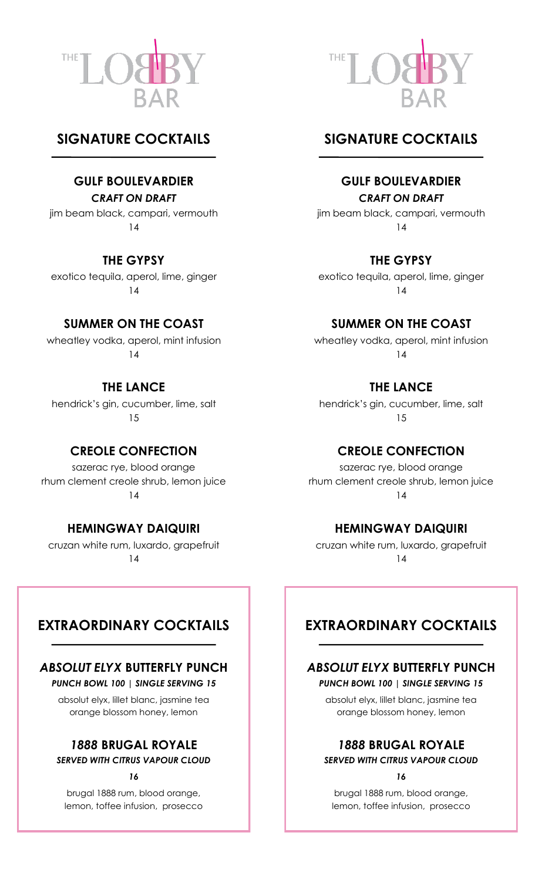



## **SIGNATURE COCKTAILS**

## **GULF BOULEVARDIER**

#### *CRAFT ON DRAFT*

jim beam black, campari, vermouth 14

## **THE GYPSY**

exotico tequila, aperol, lime, ginger 14

## **SUMMER ON THE COAST**

wheatley vodka, aperol, mint infusion 14

**THE LANCE** hendrick's gin, cucumber, lime, salt 15

## **CREOLE CONFECTION**

sazerac rye, blood orange rhum clement creole shrub, lemon juice 14

## **HEMINGWAY DAIQUIRI**

cruzan white rum, luxardo, grapefruit 14

## **SIGNATURE COCKTAILS**

## **GULF BOULEVARDIER**

#### *CRAFT ON DRAFT*

jim beam black, campari, vermouth 14

## **THE GYPSY**

exotico tequila, aperol, lime, ginger 14

## **SUMMER ON THE COAST**

wheatley vodka, aperol, mint infusion 14

## **THE LANCE**

hendrick's gin, cucumber, lime, salt 15

## **CREOLE CONFECTION**

sazerac rye, blood orange rhum clement creole shrub, lemon juice 14

## **HEMINGWAY DAIQUIRI**

cruzan white rum, luxardo, grapefruit 14

## **EXTRAORDINARY COCKTAILS**

## *ABSOLUT ELYX* **BUTTERFLY PUNCH**

*PUNCH BOWL 100 | SINGLE SERVING 15* 

absolut elyx, lillet blanc, jasmine tea orange blossom honey, lemon

## *1888* **BRUGAL ROYALE**

*SERVED WITH CITRUS VAPOUR CLOUD*

*16*

brugal 1888 rum, blood orange, lemon, toffee infusion, prosecco

## **EXTRAORDINARY COCKTAILS**

## *ABSOLUT ELYX* **BUTTERFLY PUNCH**

#### *PUNCH BOWL 100 | SINGLE SERVING 15*

absolut elyx, lillet blanc, jasmine tea orange blossom honey, lemon

## *1888* **BRUGAL ROYALE**

*SERVED WITH CITRUS VAPOUR CLOUD*

*16*

brugal 1888 rum, blood orange, lemon, toffee infusion, prosecco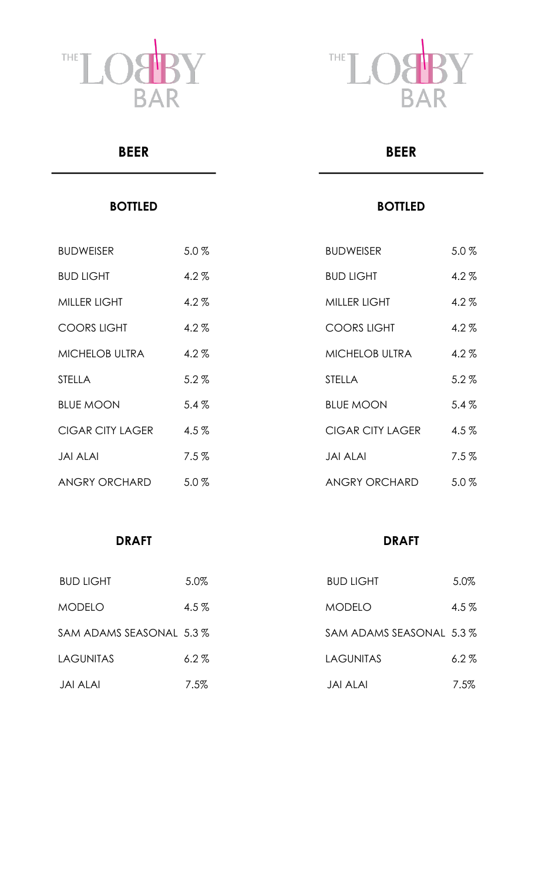



## **BEER**

## **BOTTLED**

| <b>BUDWEISER</b>        | $5.0\%$ |
|-------------------------|---------|
| <b>BUD LIGHT</b>        | $4.2\%$ |
| <b>MILLER LIGHT</b>     | $4.2\%$ |
| <b>COORS LIGHT</b>      | $4.2\%$ |
| <b>MICHELOB ULTRA</b>   | $4.2\%$ |
| <b>STELLA</b>           | $5.2\%$ |
| <b>BLUE MOON</b>        | 5.4%    |
| <b>CIGAR CITY LAGER</b> | $4.5\%$ |
| <b>JAI ALAI</b>         | 7.5%    |
| <b>ANGRY ORCHARD</b>    | $5.0\%$ |

# **BOTTLED**

**BEER**

| <b>BUDWEISER</b>        | 5.0%      |
|-------------------------|-----------|
| <b>BUD LIGHT</b>        | $4.2\%$   |
| MILLER LIGHT            | $4.2\%$   |
| <b>COORS LIGHT</b>      | $4.2\%$   |
| <b>MICHELOB ULTRA</b>   | $4.2\%$   |
| <b>STELLA</b>           | $5.2\%$   |
| <b>BLUE MOON</b>        | 5.4%      |
| <b>CIGAR CITY LAGER</b> | $4.5\%$   |
| JAI AI AI               | $7.5\,\%$ |
| ANGRY ORCHARD           | 5.0%      |

## **DRAFT**

## **DRAFT**

| <b>BUD LIGHT</b>        | 5.0%    | <b>BUD LIGHT</b>        | 5.0%    |
|-------------------------|---------|-------------------------|---------|
| <b>MODELO</b>           | $4.5\%$ | <b>MODELO</b>           | $4.5\%$ |
| SAM ADAMS SEASONAL 5.3% |         | SAM ADAMS SEASONAL 5.3% |         |
| <b>LAGUNITAS</b>        | $6.2\%$ | <b>LAGUNITAS</b>        | 6.2%    |
| JAI ALAI                | $7.5\%$ | <b>JAI ALAI</b>         | $7.5\%$ |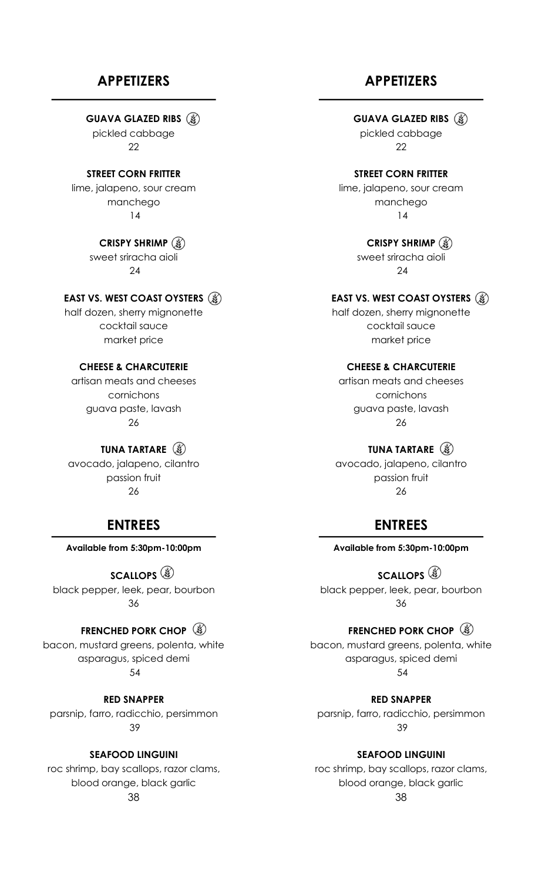## **APPETIZERS**

**GUAVA GLAZED RIBS** 

pickled cabbage 22

**STREET CORN FRITTER** lime, jalapeno, sour cream manchego 14

> **CRISPY SHRIMP** (§) sweet sriracha aioli 24

#### **EAST VS. WEST COAST OYSTERS**

half dozen, sherry mignonette cocktail sauce market price

#### **CHEESE & CHARCUTERIE**

artisan meats and cheeses cornichons guava paste, lavash 26

**TUNA TARTARE** avocado, jalapeno, cilantro passion fruit 26

## **ENTREES**

**Available from 5:30pm-10:00pm**

**SCALLOPS** black pepper, leek, pear, bourbon 36

## **FRENCHED PORK CHOP**

bacon, mustard greens, polenta, white asparagus, spiced demi 54

**RED SNAPPER** parsnip, farro, radicchio, persimmon 39

#### **SEAFOOD LINGUINI**

roc shrimp, bay scallops, razor clams, blood orange, black garlic 38

## **APPETIZERS**

#### **GUAVA GLAZED RIBS**

pickled cabbage 22

#### **STREET CORN FRITTER**

lime, jalapeno, sour cream manchego 14

**CRISPY SHRIMP**

sweet sriracha aioli 24

#### **EAST VS. WEST COAST OYSTERS**

half dozen, sherry mignonette cocktail sauce market price

#### **CHEESE & CHARCUTERIE**

artisan meats and cheeses cornichons guava paste, lavash 26

#### **TUNA TARTARE** (3)

avocado, jalapeno, cilantro passion fruit 26

## **ENTREES**

**Available from 5:30pm-10:00pm**

**SCALLOPS** black pepper, leek, pear, bourbon 36

#### **FRENCHED PORK CHOP**

bacon, mustard greens, polenta, white asparagus, spiced demi 54

**RED SNAPPER** parsnip, farro, radicchio, persimmon 39

**SEAFOOD LINGUINI**

roc shrimp, bay scallops, razor clams, blood orange, black garlic 38